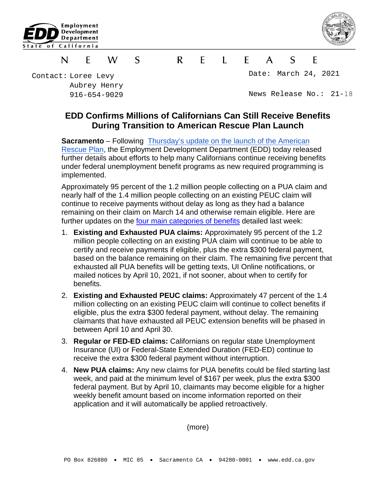



## S  $\mathsf{R}$ F  $\blacksquare$  $S$ N F W  $\mathsf{A}$ F

Contact: Loree Levy Aubrey Henry 916-654-9029

Date: March 24, 2021

News Release No.: 21-18

## **EDD Confirms Millions of Californians Can Still Receive Benefits During Transition to American Rescue Plan Launch**

**Sacramento** – Following Thursday's update [on the launch of the American](https://edd.ca.gov/About_EDD/pdf/news-21-17.pdf) [Rescue Plan,](https://edd.ca.gov/About_EDD/pdf/news-21-17.pdf) the Employment Development Department (EDD) today released further details about efforts to help many Californians continue receiving benefits under federal unemployment benefit programs as new required programming is implemented.

Approximately 95 percent of the 1.2 million people collecting on a PUA claim and nearly half of the 1.4 million people collecting on an existing PEUC claim will continue to receive payments without delay as long as they had a balance remaining on their claim on March 14 and otherwise remain eligible. Here are further updates on the [four main categories of benefits](https://edd.ca.gov/About_EDD/pdf/news-21-17.pdf) detailed last week:

- 1. **Existing and Exhausted PUA claims:** Approximately 95 percent of the 1.2 million people collecting on an existing PUA claim will continue to be able to certify and receive payments if eligible, plus the extra \$300 federal payment, based on the balance remaining on their claim. The remaining five percent that exhausted all PUA benefits will be getting texts, UI Online notifications, or mailed notices by April 10, 2021, if not sooner, about when to certify for benefits.
- 2. **Existing and Exhausted PEUC claims:** Approximately 47 percent of the 1.4 million collecting on an existing PEUC claim will continue to collect benefits if eligible, plus the extra \$300 federal payment, without delay. The remaining claimants that have exhausted all PEUC extension benefits will be phased in between April 10 and April 30.
- 3. **Regular or FED-ED claims:** Californians on regular state Unemployment Insurance (UI) or Federal-State Extended Duration (FED-ED) continue to receive the extra \$300 federal payment without interruption.
- 4. **New PUA claims:** Any new claims for PUA benefits could be filed starting last week, and paid at the minimum level of \$167 per week, plus the extra \$300 federal payment. But by April 10, claimants may become eligible for a higher weekly benefit amount based on income information reported on their application and it will automatically be applied retroactively.

(more)